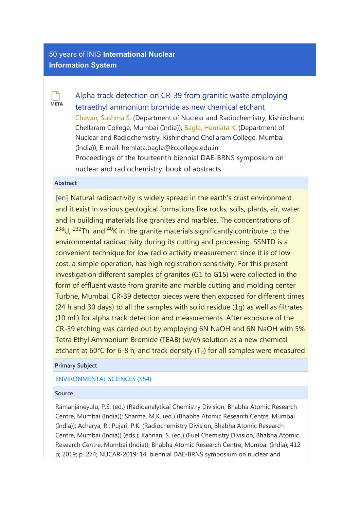# [50 years of INIS](http://inis.iaea.org/search) International Nuclear Information System

**META**  $\Box$ 

[Alpha track detection on CR-39 from granitic waste employing](https://inis.iaea.org/search/searchsinglerecord.aspx?recordsFor=SingleRecord&RN=50045988) [tetraethyl ammonium bromide as new chemical etchant](https://inis.iaea.org/search/searchsinglerecord.aspx?recordsFor=SingleRecord&RN=50045988) [Chavan, Sushma S.](https://inis.iaea.org/search/search.aspx?orig_q=author:%22Chavan,%20Sushma%20S.%22) (Department of Nuclear and Radiochemistry, Kishinchand Chellaram College, Mumbai (India)); [Bagla, Hemlata K.](https://inis.iaea.org/search/search.aspx?orig_q=author:%22Bagla,%20Hemlata%20K.%22) (Department of Nuclear and Radiochemistry, Kishinchand Chellaram College, Mumbai (India)), E-mail: hemlata.bagla@kccollege.edu.in Proceedings of the fourteenth biennial DAE-BRNS symposium on nuclear and radiochemistry: book of abstracts

## Abstract

[en] Natural radioactivity is widely spread in the earth's crust environment and it exist in various geological formations like rocks, soils, plants, air, water and in building materials like granites and marbles. The concentrations of  $^{238}$ U,  $^{232}$ Th, and  $^{40}$ K in the granite materials significantly contribute to the environmental radioactivity during its cutting and processing. SSNTD is a convenient technique for low radio activity measurement since it is of low cost, a simple operation, has high registration sensitivity. For this present investigation different samples of granites (G1 to G15) were collected in the form of effluent waste from granite and marble cutting and molding center Turbhe, Mumbai. CR-39 detector pieces were then exposed for different times (24 h and 30 days) to all the samples with solid residue (1g) as well as filtrates (10 mL) for alpha track detection and measurements. After exposure of the CR-39 etching was carried out by employing 6N NaOH and 6N NaOH with 5% Tetra Ethyl Ammonium Bromide (TEAB) (w/w) solution as a new chemical etchant at 60°C for 6-8 h, and track density (T<sub>d</sub>) for all samples were measured

## Primary Subject

## [ENVIRONMENTAL SCIENCES \(S54\)](https://inis.iaea.org/search/search.aspx?orig_q=primarysubject:%22ENVIRONMENTAL%20SCIENCES%20(S54)%22)

#### Source

Ramanjaneyulu, P.S. (ed.) (Radioanalytical Chemistry Division, Bhabha Atomic Research Centre, Mumbai (India)); Sharma, M.K. (ed.) (Bhabha Atomic Research Centre, Mumbai (India)); Acharya, R.; Pujari, P.K. (Radiochemistry Division, Bhabha Atomic Research Centre, Mumbai (India)) (eds.); Kannan, S. (ed.) (Fuel Chemistry Division, Bhabha Atomic Research Centre, Mumbai (India)); Bhabha Atomic Research Centre, Mumbai (India); 412 p; 2019; p. 274; NUCAR-2019: 14. biennial DAE-BRNS symposium on nuclear and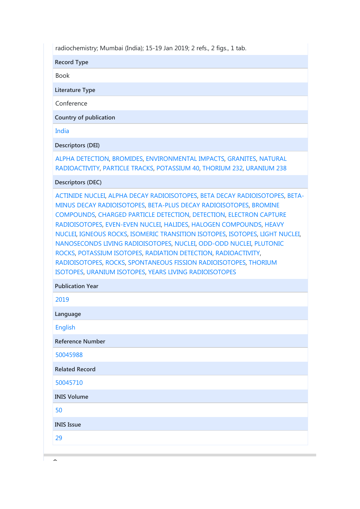radiochemistry; Mumbai (India); 15-19 Jan 2019; 2 refs., 2 figs., 1 tab.

Record Type

Book

Literature Type

Conference

Country of publication

[India](https://inis.iaea.org/search/search.aspx?orig_q=country:%22India%22)

Descriptors (DEI)

[ALPHA DETECTION](https://inis.iaea.org/search/search.aspx?orig_q=DEI:%22ALPHA%20DETECTION%22), [BROMIDES](https://inis.iaea.org/search/search.aspx?orig_q=DEI:%22BROMIDES%22), [ENVIRONMENTAL IMPACTS,](https://inis.iaea.org/search/search.aspx?orig_q=DEI:%22ENVIRONMENTAL%20IMPACTS%22) [GRANITES](https://inis.iaea.org/search/search.aspx?orig_q=DEI:%22GRANITES%22), [NATURAL](https://inis.iaea.org/search/search.aspx?orig_q=DEI:%22NATURAL%20RADIOACTIVITY%22) [RADIOACTIVITY,](https://inis.iaea.org/search/search.aspx?orig_q=DEI:%22NATURAL%20RADIOACTIVITY%22) [PARTICLE TRACKS,](https://inis.iaea.org/search/search.aspx?orig_q=DEI:%22PARTICLE%20TRACKS%22) [POTASSIUM 40](https://inis.iaea.org/search/search.aspx?orig_q=DEI:%22POTASSIUM%2040%22), [THORIUM 232](https://inis.iaea.org/search/search.aspx?orig_q=DEI:%22THORIUM%20232%22), [URANIUM 238](https://inis.iaea.org/search/search.aspx?orig_q=DEI:%22URANIUM%20238%22)

#### Descriptors (DEC)

Publication Year

[ACTINIDE NUCLEI,](https://inis.iaea.org/search/search.aspx?orig_q=DEC:%22ACTINIDE%20NUCLEI%22) [ALPHA DECAY RADIOISOTOPES,](https://inis.iaea.org/search/search.aspx?orig_q=DEC:%22ALPHA%20DECAY%20RADIOISOTOPES%22) [BETA DECAY RADIOISOTOPES,](https://inis.iaea.org/search/search.aspx?orig_q=DEC:%22BETA%20DECAY%20RADIOISOTOPES%22) [BETA-](https://inis.iaea.org/search/search.aspx?orig_q=DEC:%22BETA-MINUS%20DECAY%20RADIOISOTOPES%22)[MINUS DECAY RADIOISOTOPES](https://inis.iaea.org/search/search.aspx?orig_q=DEC:%22BETA-MINUS%20DECAY%20RADIOISOTOPES%22), [BETA-PLUS DECAY RADIOISOTOPES](https://inis.iaea.org/search/search.aspx?orig_q=DEC:%22BETA-PLUS%20DECAY%20RADIOISOTOPES%22), [BROMINE](https://inis.iaea.org/search/search.aspx?orig_q=DEC:%22BROMINE%20COMPOUNDS%22) [COMPOUNDS,](https://inis.iaea.org/search/search.aspx?orig_q=DEC:%22BROMINE%20COMPOUNDS%22) [CHARGED PARTICLE DETECTION,](https://inis.iaea.org/search/search.aspx?orig_q=DEC:%22CHARGED%20PARTICLE%20DETECTION%22) [DETECTION](https://inis.iaea.org/search/search.aspx?orig_q=DEC:%22DETECTION%22), [ELECTRON CAPTURE](https://inis.iaea.org/search/search.aspx?orig_q=DEC:%22ELECTRON%20CAPTURE%20RADIOISOTOPES%22) [RADIOISOTOPES](https://inis.iaea.org/search/search.aspx?orig_q=DEC:%22ELECTRON%20CAPTURE%20RADIOISOTOPES%22), [EVEN-EVEN NUCLEI,](https://inis.iaea.org/search/search.aspx?orig_q=DEC:%22EVEN-EVEN%20NUCLEI%22) [HALIDES](https://inis.iaea.org/search/search.aspx?orig_q=DEC:%22HALIDES%22), [HALOGEN COMPOUNDS,](https://inis.iaea.org/search/search.aspx?orig_q=DEC:%22HALOGEN%20COMPOUNDS%22) [HEAVY](https://inis.iaea.org/search/search.aspx?orig_q=DEC:%22HEAVY%20NUCLEI%22) [NUCLEI](https://inis.iaea.org/search/search.aspx?orig_q=DEC:%22HEAVY%20NUCLEI%22), [IGNEOUS ROCKS](https://inis.iaea.org/search/search.aspx?orig_q=DEC:%22IGNEOUS%20ROCKS%22), [ISOMERIC TRANSITION ISOTOPES](https://inis.iaea.org/search/search.aspx?orig_q=DEC:%22ISOMERIC%20TRANSITION%20ISOTOPES%22), [ISOTOPES](https://inis.iaea.org/search/search.aspx?orig_q=DEC:%22ISOTOPES%22), [LIGHT NUCLEI](https://inis.iaea.org/search/search.aspx?orig_q=DEC:%22LIGHT%20NUCLEI%22), [NANOSECONDS LIVING RADIOISOTOPES,](https://inis.iaea.org/search/search.aspx?orig_q=DEC:%22NANOSECONDS%20LIVING%20RADIOISOTOPES%22) [NUCLEI](https://inis.iaea.org/search/search.aspx?orig_q=DEC:%22NUCLEI%22), [ODD-ODD NUCLEI,](https://inis.iaea.org/search/search.aspx?orig_q=DEC:%22ODD-ODD%20NUCLEI%22) [PLUTONIC](https://inis.iaea.org/search/search.aspx?orig_q=DEC:%22PLUTONIC%20ROCKS%22) [ROCKS,](https://inis.iaea.org/search/search.aspx?orig_q=DEC:%22PLUTONIC%20ROCKS%22) [POTASSIUM ISOTOPES](https://inis.iaea.org/search/search.aspx?orig_q=DEC:%22POTASSIUM%20ISOTOPES%22), [RADIATION DETECTION](https://inis.iaea.org/search/search.aspx?orig_q=DEC:%22RADIATION%20DETECTION%22), [RADIOACTIVITY,](https://inis.iaea.org/search/search.aspx?orig_q=DEC:%22RADIOACTIVITY%22) [RADIOISOTOPES](https://inis.iaea.org/search/search.aspx?orig_q=DEC:%22RADIOISOTOPES%22), [ROCKS](https://inis.iaea.org/search/search.aspx?orig_q=DEC:%22ROCKS%22), [SPONTANEOUS FISSION RADIOISOTOPES](https://inis.iaea.org/search/search.aspx?orig_q=DEC:%22SPONTANEOUS%20FISSION%20RADIOISOTOPES%22), [THORIUM](https://inis.iaea.org/search/search.aspx?orig_q=DEC:%22THORIUM%20ISOTOPES%22) [ISOTOPES,](https://inis.iaea.org/search/search.aspx?orig_q=DEC:%22THORIUM%20ISOTOPES%22) [URANIUM ISOTOPES](https://inis.iaea.org/search/search.aspx?orig_q=DEC:%22URANIUM%20ISOTOPES%22), [YEARS LIVING RADIOISOTOPES](https://inis.iaea.org/search/search.aspx?orig_q=DEC:%22YEARS%20LIVING%20RADIOISOTOPES%22)

| <b>PUDIICATION Year</b> |
|-------------------------|
| 2019                    |
| Language                |
| <b>English</b>          |
| <b>Reference Number</b> |
| 50045988                |
| <b>Related Record</b>   |
| 50045710                |
| <b>INIS Volume</b>      |
| 50                      |
| <b>INIS Issue</b>       |
| 29                      |
|                         |